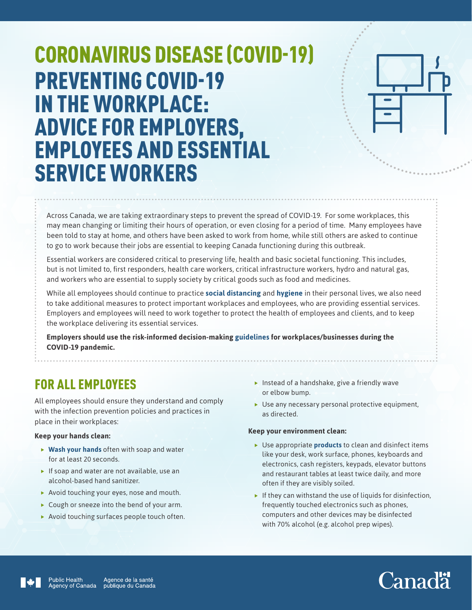# CORONAVIRUS DISEASE (COVID-19) PREVENTING COVID-19 IN THE WORKPLACE: ADVICE FOR EMPLOYERS, EMPLOYEES AND ESSENTIAL SERVICE WORKERS



Across Canada, we are taking extraordinary steps to prevent the spread of COVID-19. For some workplaces, this may mean changing or limiting their hours of operation, or even closing for a period of time. Many employees have been told to stay at home, and others have been asked to work from home, while still others are asked to continue to go to work because their jobs are essential to keeping Canada functioning during this outbreak.

Essential workers are considered critical to preserving life, health and basic societal functioning. This includes, but is not limited to, first responders, health care workers, critical infrastructure workers, hydro and natural gas, and workers who are essential to supply society by critical goods such as food and medicines.

While all employees should continue to practice **[social distancing](https://www.canada.ca/en/public-health/services/publications/diseases-conditions/social-distancing.html)** and **[hygiene](https://www.canada.ca/en/public-health/services/diseases/2019-novel-coronavirus-infection/prevention-risks.html#hygiene)** in their personal lives, we also need to take additional measures to protect important workplaces and employees, who are providing essential services. Employers and employees will need to work together to protect the health of employees and clients, and to keep the workplace delivering its essential services.

**Employers should use the risk-informed decision-making [guidelines](https://www.canada.ca/en/public-health/services/diseases/2019-novel-coronavirus-infection/guidance-documents/risk-informed-decision-making-workplaces-businesses-covid-19-pandemic.html) for workplaces/businesses during the COVID-19 pandemic.**

### FOR ALL EMPLOYEES

All employees should ensure they understand and comply with the infection prevention policies and practices in place in their workplaces:

#### **Keep your hands clean:**

- ▶ [Wash your hands](https://www.canada.ca/en/public-health/services/publications/diseases-conditions/reduce-spread-covid-19-wash-your-hands.html) often with soap and water for at least 20 seconds.
- $\blacktriangleright$  If soap and water are not available, use an alcohol-based hand sanitizer.
- $\blacktriangleright$  Avoid touching your eyes, nose and mouth.
- $\blacktriangleright$  Cough or sneeze into the bend of your arm.
- $\blacktriangleright$  Avoid touching surfaces people touch often.
- $\blacktriangleright$  Instead of a handshake, give a friendly wave or elbow bump.
- $\blacktriangleright$  Use any necessary personal protective equipment, as directed.

#### **Keep your environment clean:**

- ▶ Use appropriate **[products](https://www.canada.ca/en/health-canada/services/drugs-health-products/disinfectants/covid-19/list.html)** to clean and disinfect items like your desk, work surface, phones, keyboards and electronics, cash registers, keypads, elevator buttons and restaurant tables at least twice daily, and more often if they are visibly soiled.
- $\blacktriangleright$  If they can withstand the use of liquids for disinfection, frequently touched electronics such as phones, computers and other devices may be disinfected with 70% alcohol (e.g. alcohol prep wipes).



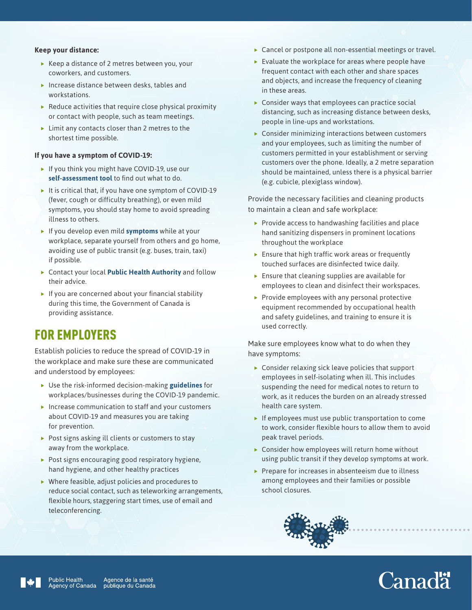#### **Keep your distance:**

- $\blacktriangleright$  Keep a distance of 2 metres between you, your coworkers, and customers.
- $\blacktriangleright$  Increase distance between desks, tables and workstations.
- $\blacktriangleright$  Reduce activities that require close physical proximity or contact with people, such as team meetings.
- $\blacktriangleright$  Limit any contacts closer than 2 metres to the shortest time possible.

#### **If you have a symptom of COVID-19:**

- $\blacktriangleright$  If you think you might have COVID-19, use our **[self-assessment tool](https://ca.thrive.health/covid19/en)** to find out what to do.
- It is critical that, if you have one symptom of COVID-19 (fever, cough or difficulty breathing), or even mild symptoms, you should stay home to avoid spreading illness to others.
- **Fig.** If you develop even mild **[symptoms](https://www.canada.ca/en/public-health/services/diseases/2019-novel-coronavirus-infection/symptoms.html?topic=tilelink)** while at your workplace, separate yourself from others and go home, avoiding use of public transit (e.g. buses, train, taxi) if possible.
- **F** Contact your local **[Public Health Authority](https://www.canada.ca/en/public-health/services/diseases/2019-novel-coronavirus-infection/symptoms/provincial-territorial-resources-covid-19.html)** and follow their advice.
- $\blacktriangleright$  If you are concerned about your financial stability during this time, the Government of Canada is providing assistance.

### FOR EMPLOYERS

Establish policies to reduce the spread of COVID-19 in the workplace and make sure these are communicated and understood by employees:

- **F** Use the risk-informed decision-making **[guidelines](https://www.canada.ca/en/public-health/services/diseases/2019-novel-coronavirus-infection/guidance-documents/risk-informed-decision-making-workplaces-businesses-covid-19-pandemic.html)** for workplaces/businesses during the COVID-19 pandemic.
- $\blacktriangleright$  Increase communication to staff and your customers about COVID-19 and measures you are taking for prevention.
- $\blacktriangleright$  Post signs asking ill clients or customers to stay away from the workplace.
- $\triangleright$  Post signs encouraging good respiratory hygiene, hand hygiene, and other healthy practices
- $\blacktriangleright$  Where feasible, adjust policies and procedures to reduce social contact, such as teleworking arrangements, flexible hours, staggering start times, use of email and teleconferencing.
- $\blacktriangleright$  Cancel or postpone all non-essential meetings or travel.
- $\blacktriangleright$  Evaluate the workplace for areas where people have frequent contact with each other and share spaces and objects, and increase the frequency of cleaning in these areas.
- $\triangleright$  Consider ways that employees can practice social distancing, such as increasing distance between desks, people in line-ups and workstations.
- $\blacktriangleright$  Consider minimizing interactions between customers and your employees, such as limiting the number of customers permitted in your establishment or serving customers over the phone. Ideally, a 2 metre separation should be maintained, unless there is a physical barrier (e.g. cubicle, plexiglass window).

Provide the necessary facilities and cleaning products to maintain a clean and safe workplace:

- $\blacktriangleright$  Provide access to handwashing facilities and place hand sanitizing dispensers in prominent locations throughout the workplace
- $\blacktriangleright$  Ensure that high traffic work areas or frequently touched surfaces are disinfected twice daily.
- $\blacktriangleright$  Ensure that cleaning supplies are available for employees to clean and disinfect their workspaces.
- $\blacktriangleright$  Provide employees with any personal protective equipment recommended by occupational health and safety guidelines, and training to ensure it is used correctly.

Make sure employees know what to do when they have symptoms:

- $\triangleright$  Consider relaxing sick leave policies that support employees in self-isolating when ill. This includes suspending the need for medical notes to return to work, as it reduces the burden on an already stressed health care system.
- $\blacktriangleright$  If employees must use public transportation to come to work, consider flexible hours to allow them to avoid peak travel periods.
- $\triangleright$  Consider how employees will return home without using public transit if they develop symptoms at work.
- $\blacktriangleright$  Prepare for increases in absenteeism due to illness among employees and their families or possible school closures.



# Canadä